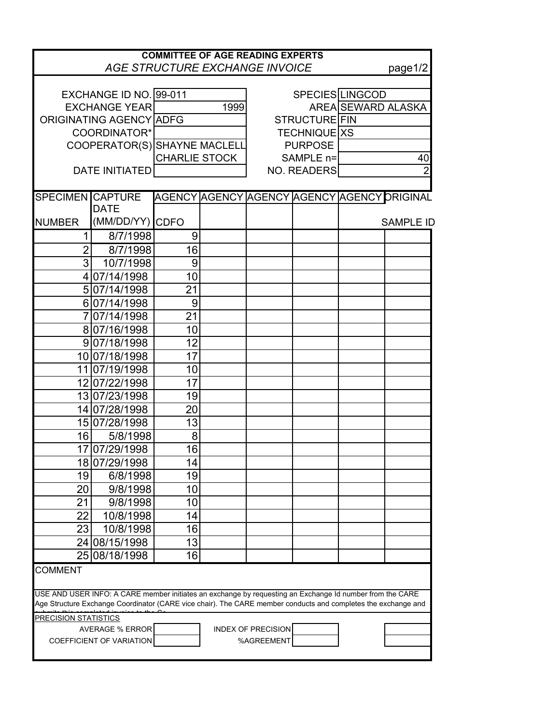| <b>COMMITTEE OF AGE READING EXPERTS</b><br><b>AGE STRUCTURE EXCHANGE INVOICE</b><br>page1/2                                                                                                                               |                        |                              |  |                      |  |                    |                                             |  |  |  |
|---------------------------------------------------------------------------------------------------------------------------------------------------------------------------------------------------------------------------|------------------------|------------------------------|--|----------------------|--|--------------------|---------------------------------------------|--|--|--|
|                                                                                                                                                                                                                           |                        |                              |  |                      |  |                    |                                             |  |  |  |
|                                                                                                                                                                                                                           | EXCHANGE ID NO. 99-011 |                              |  |                      |  | SPECIES LINGCOD    |                                             |  |  |  |
| <b>EXCHANGE YEAR</b>                                                                                                                                                                                                      |                        | 1999                         |  |                      |  | AREA SEWARD ALASKA |                                             |  |  |  |
| ORIGINATING AGENCY ADFG                                                                                                                                                                                                   |                        |                              |  | <b>STRUCTURE FIN</b> |  |                    |                                             |  |  |  |
| COORDINATOR*                                                                                                                                                                                                              |                        |                              |  | <b>TECHNIQUE XS</b>  |  |                    |                                             |  |  |  |
|                                                                                                                                                                                                                           |                        | COOPERATOR(S) SHAYNE MACLELL |  | <b>PURPOSE</b>       |  |                    |                                             |  |  |  |
|                                                                                                                                                                                                                           |                        | <b>CHARLIE STOCK</b>         |  | SAMPLE n=            |  | 40                 |                                             |  |  |  |
| <b>DATE INITIATED</b>                                                                                                                                                                                                     |                        |                              |  | <b>NO. READERS</b>   |  | $\mathcal{P}$      |                                             |  |  |  |
|                                                                                                                                                                                                                           |                        |                              |  |                      |  |                    |                                             |  |  |  |
| <b>SPECIMEN CAPTURE</b>                                                                                                                                                                                                   |                        |                              |  |                      |  |                    | AGENCY AGENCY AGENCY AGENCY AGENCY ORIGINAL |  |  |  |
|                                                                                                                                                                                                                           | <b>DATE</b>            |                              |  |                      |  |                    |                                             |  |  |  |
| <b>NUMBER</b>                                                                                                                                                                                                             | (MM/DD/YY) CDFO        |                              |  |                      |  |                    | <b>SAMPLE ID</b>                            |  |  |  |
| 1                                                                                                                                                                                                                         | 8/7/1998               | 9                            |  |                      |  |                    |                                             |  |  |  |
| $\overline{2}$                                                                                                                                                                                                            | 8/7/1998               | 16                           |  |                      |  |                    |                                             |  |  |  |
| 3                                                                                                                                                                                                                         | 10/7/1998              | 9                            |  |                      |  |                    |                                             |  |  |  |
| $\vert 4 \vert$                                                                                                                                                                                                           | 07/14/1998             | 10                           |  |                      |  |                    |                                             |  |  |  |
| 5 <sub>l</sub>                                                                                                                                                                                                            | 07/14/1998             | 21                           |  |                      |  |                    |                                             |  |  |  |
|                                                                                                                                                                                                                           | 607/14/1998            | 9                            |  |                      |  |                    |                                             |  |  |  |
|                                                                                                                                                                                                                           | 07/14/1998             | 21                           |  |                      |  |                    |                                             |  |  |  |
|                                                                                                                                                                                                                           | 807/16/1998            | 10                           |  |                      |  |                    |                                             |  |  |  |
|                                                                                                                                                                                                                           | 9 07/18/1998           | 12                           |  |                      |  |                    |                                             |  |  |  |
|                                                                                                                                                                                                                           | 10 07/18/1998          | 17                           |  |                      |  |                    |                                             |  |  |  |
| 11                                                                                                                                                                                                                        | 07/19/1998             | 10                           |  |                      |  |                    |                                             |  |  |  |
|                                                                                                                                                                                                                           | 12 07/22/1998          | 17                           |  |                      |  |                    |                                             |  |  |  |
|                                                                                                                                                                                                                           | 13 07/23/1998          | 19                           |  |                      |  |                    |                                             |  |  |  |
|                                                                                                                                                                                                                           | 14 07/28/1998          | 20                           |  |                      |  |                    |                                             |  |  |  |
|                                                                                                                                                                                                                           | 15 07/28/1998          | 13                           |  |                      |  |                    |                                             |  |  |  |
| 16                                                                                                                                                                                                                        | 5/8/1998               | 8                            |  |                      |  |                    |                                             |  |  |  |
|                                                                                                                                                                                                                           | 17 07/29/1998          | 16                           |  |                      |  |                    |                                             |  |  |  |
|                                                                                                                                                                                                                           | 18 07/29/1998          | 14                           |  |                      |  |                    |                                             |  |  |  |
| 19                                                                                                                                                                                                                        | 6/8/1998               | 19                           |  |                      |  |                    |                                             |  |  |  |
| 20                                                                                                                                                                                                                        | 9/8/1998               | 10                           |  |                      |  |                    |                                             |  |  |  |
| 21                                                                                                                                                                                                                        | 9/8/1998               | 10                           |  |                      |  |                    |                                             |  |  |  |
| 22                                                                                                                                                                                                                        | 10/8/1998              | 14                           |  |                      |  |                    |                                             |  |  |  |
| 23                                                                                                                                                                                                                        | 10/8/1998              | 16                           |  |                      |  |                    |                                             |  |  |  |
|                                                                                                                                                                                                                           | 24 08/15/1998          | 13                           |  |                      |  |                    |                                             |  |  |  |
|                                                                                                                                                                                                                           | 25 08/18/1998          | 16                           |  |                      |  |                    |                                             |  |  |  |
| <b>COMMENT</b>                                                                                                                                                                                                            |                        |                              |  |                      |  |                    |                                             |  |  |  |
|                                                                                                                                                                                                                           |                        |                              |  |                      |  |                    |                                             |  |  |  |
| USE AND USER INFO: A CARE member initiates an exchange by requesting an Exchange Id number from the CARE<br>Age Structure Exchange Coordinator (CARE vice chair). The CARE member conducts and completes the exchange and |                        |                              |  |                      |  |                    |                                             |  |  |  |
| <b>PRECISION STATISTICS</b>                                                                                                                                                                                               |                        |                              |  |                      |  |                    |                                             |  |  |  |
| <b>AVERAGE % ERROR</b><br><b>INDEX OF PRECISION</b>                                                                                                                                                                       |                        |                              |  |                      |  |                    |                                             |  |  |  |
| <b>COEFFICIENT OF VARIATION</b><br>%AGREEMENT                                                                                                                                                                             |                        |                              |  |                      |  |                    |                                             |  |  |  |
|                                                                                                                                                                                                                           |                        |                              |  |                      |  |                    |                                             |  |  |  |